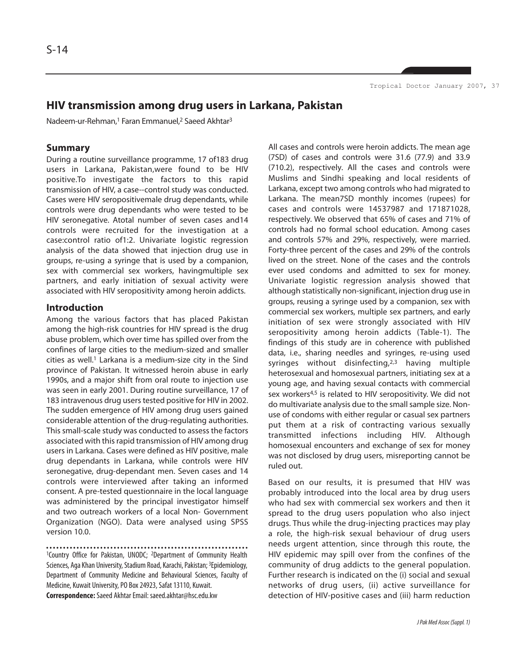# **HIV transmission among drug users in Larkana, Pakistan**

Nadeem-ur-Rehman,<sup>1</sup> Faran Emmanuel,<sup>2</sup> Saeed Akhtar<sup>3</sup>

#### **Summary**

During a routine surveillance programme, 17 of183 drug users in Larkana, Pakistan,were found to be HIV positive.To investigate the factors to this rapid transmission of HIV, a case--control study was conducted. Cases were HIV seropositivemale drug dependants, while controls were drug dependants who were tested to be HIV seronegative. Atotal number of seven cases and14 controls were recruited for the investigation at a case:control ratio of1:2. Univariate logistic regression analysis of the data showed that injection drug use in groups, re-using a syringe that is used by a companion, sex with commercial sex workers, havingmultiple sex partners, and early initiation of sexual activity were associated with HIV seropositivity among heroin addicts.

## **Introduction**

Among the various factors that has placed Pakistan among the high-risk countries for HIV spread is the drug abuse problem, which over time has spilled over from the confines of large cities to the medium-sized and smaller cities as well.<sup>1</sup> Larkana is a medium-size city in the Sind province of Pakistan. It witnessed heroin abuse in early 1990s, and a major shift from oral route to injection use was seen in early 2001. During routine surveillance, 17 of 183 intravenous drug users tested positive for HIV in 2002. The sudden emergence of HIV among drug users gained considerable attention of the drug-regulating authorities. This small-scale study was conducted to assess the factors associated with this rapid transmission of HIV among drug users in Larkana. Cases were defined as HIV positive, male drug dependants in Larkana, while controls were HIV seronegative, drug-dependant men. Seven cases and 14 controls were interviewed after taking an informed consent. A pre-tested questionnaire in the local language was administered by the principal investigator himself and two outreach workers of a local Non- Government Organization (NGO). Data were analysed using SPSS version 10.0.

<sup>1</sup>Country Office for Pakistan, UNODC; <sup>2</sup>Department of Community Health Sciences, Aga Khan University, Stadium Road, Karachi, Pakistan; 3Epidemiology, Department of Community Medicine and Behavioural Sciences, Faculty of Medicine, Kuwait University, PO Box 24923, Safat 13110, Kuwait. **Correspondence:** Saeed Akhtar Email: saeed.akhtar@hsc.edu.kw

All cases and controls were heroin addicts. The mean age (7SD) of cases and controls were 31.6 (77.9) and 33.9 (710.2), respectively. All the cases and controls were Muslims and Sindhi speaking and local residents of Larkana, except two among controls who had migrated to Larkana. The mean7SD monthly incomes (rupees) for cases and controls were 14537987 and 171871028, respectively. We observed that 65% of cases and 71% of controls had no formal school education. Among cases and controls 57% and 29%, respectively, were married. Forty-three percent of the cases and 29% of the controls lived on the street. None of the cases and the controls ever used condoms and admitted to sex for money. Univariate logistic regression analysis showed that although statistically non-significant, injection drug use in groups, reusing a syringe used by a companion, sex with commercial sex workers, multiple sex partners, and early initiation of sex were strongly associated with HIV seropositivity among heroin addicts (Table-1). The findings of this study are in coherence with published data, i.e., sharing needles and syringes, re-using used syringes without disinfecting, $2,3$  having multiple heterosexual and homosexual partners, initiating sex at a young age, and having sexual contacts with commercial sex workers<sup>4,5</sup> is related to HIV seropositivity. We did not do multivariate analysis due to the small sample size. Nonuse of condoms with either regular or casual sex partners put them at a risk of contracting various sexually transmitted infections including HIV. Although homosexual encounters and exchange of sex for money was not disclosed by drug users, misreporting cannot be ruled out.

Based on our results, it is presumed that HIV was probably introduced into the local area by drug users who had sex with commercial sex workers and then it spread to the drug users population who also inject drugs. Thus while the drug-injecting practices may play a role, the high-risk sexual behaviour of drug users needs urgent attention, since through this route, the HIV epidemic may spill over from the confines of the community of drug addicts to the general population. Further research is indicated on the (i) social and sexual networks of drug users, (ii) active surveillance for detection of HIV-positive cases and (iii) harm reduction